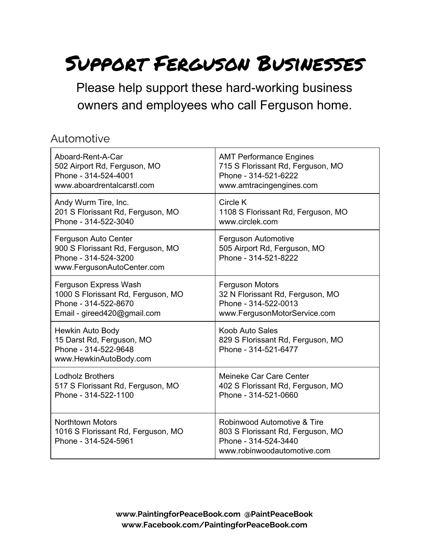# Support Ferguson Businesses

Please help support these hard-working business owners and employees who call Ferguson home.

#### Automotive

| Aboard-Rent-A-Car                                                                                               | <b>AMT Performance Engines</b>                                                                                          |
|-----------------------------------------------------------------------------------------------------------------|-------------------------------------------------------------------------------------------------------------------------|
| 502 Airport Rd, Ferguson, MO                                                                                    | 715 S Florissant Rd, Ferguson, MO                                                                                       |
| Phone - 314-524-4001                                                                                            | Phone - 314-521-6222                                                                                                    |
| www.aboardrentalcarstl.com                                                                                      | www.amtracingengines.com                                                                                                |
| Andy Wurm Tire, Inc.                                                                                            | Circle K                                                                                                                |
| 201 S Florissant Rd, Ferguson, MO                                                                               | 1108 S Florissant Rd, Ferguson, MO                                                                                      |
| Phone - 314-522-3040                                                                                            | www.circlek.com                                                                                                         |
| Ferguson Auto Center<br>900 S Florissant Rd, Ferguson, MO<br>Phone - 314-524-3200<br>www.FergusonAutoCenter.com | Ferguson Automotive<br>505 Airport Rd, Ferguson, MO<br>Phone - 314-521-8222                                             |
| Ferguson Express Wash                                                                                           | <b>Ferguson Motors</b>                                                                                                  |
| 1000 S Florissant Rd, Ferguson, MO                                                                              | 32 N Florissant Rd, Ferguson, MO                                                                                        |
| Phone - 314-522-8670                                                                                            | Phone - 314-522-0013                                                                                                    |
| Email - gireed420@gmail.com                                                                                     | www.FergusonMotorService.com                                                                                            |
| Hewkin Auto Body<br>15 Darst Rd, Ferguson, MO<br>Phone - 314-522-9648<br>www.HewkinAutoBody.com                 | Koob Auto Sales<br>829 S Florissant Rd, Ferguson, MO<br>Phone - 314-521-6477                                            |
| <b>Lodholz Brothers</b>                                                                                         | Meineke Car Care Center                                                                                                 |
| 517 S Florissant Rd, Ferguson, MO                                                                               | 402 S Florissant Rd, Ferguson, MO                                                                                       |
| Phone - 314-522-1100                                                                                            | Phone - 314-521-0660                                                                                                    |
| <b>Northtown Motors</b><br>1016 S Florissant Rd, Ferguson, MO<br>Phone - 314-524-5961                           | Robinwood Automotive & Tire<br>803 S Florissant Rd, Ferguson, MO<br>Phone - 314-524-3440<br>www.robinwoodautomotive.com |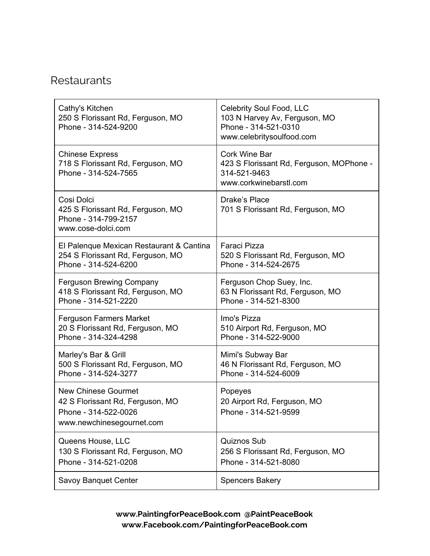#### **Re[s](http://www.google.com/url?q=http%3A%2F%2Ffergusoncitywalk.com%2Flisting_types%2Ffood%2F&sa=D&sntz=1&usg=AFQjCNHSvTj0yilGqXDC6uyow1bQaARFgQ)taurants**

| Cathy's Kitchen<br>250 S Florissant Rd, Ferguson, MO<br>Phone - 314-524-9200                                        | Celebrity Soul Food, LLC<br>103 N Harvey Av, Ferguson, MO<br>Phone - 314-521-0310<br>www.celebritysoulfood.com |
|---------------------------------------------------------------------------------------------------------------------|----------------------------------------------------------------------------------------------------------------|
| <b>Chinese Express</b><br>718 S Florissant Rd, Ferguson, MO<br>Phone - 314-524-7565                                 | <b>Cork Wine Bar</b><br>423 S Florissant Rd, Ferguson, MOPhone -<br>314-521-9463<br>www.corkwinebarstl.com     |
| Cosi Dolci<br>425 S Florissant Rd, Ferguson, MO<br>Phone - 314-799-2157<br>www.cose-dolci.com                       | Drake's Place<br>701 S Florissant Rd, Ferguson, MO                                                             |
| El Palenque Mexican Restaurant & Cantina                                                                            | Faraci Pizza                                                                                                   |
| 254 S Florissant Rd, Ferguson, MO                                                                                   | 520 S Florissant Rd, Ferguson, MO                                                                              |
| Phone - 314-524-6200                                                                                                | Phone - 314-524-2675                                                                                           |
| <b>Ferguson Brewing Company</b>                                                                                     | Ferguson Chop Suey, Inc.                                                                                       |
| 418 S Florissant Rd, Ferguson, MO                                                                                   | 63 N Florissant Rd, Ferguson, MO                                                                               |
| Phone - 314-521-2220                                                                                                | Phone - 314-521-8300                                                                                           |
| <b>Ferguson Farmers Market</b>                                                                                      | Imo's Pizza                                                                                                    |
| 20 S Florissant Rd, Ferguson, MO                                                                                    | 510 Airport Rd, Ferguson, MO                                                                                   |
| Phone - 314-324-4298                                                                                                | Phone - 314-522-9000                                                                                           |
| Marley's Bar & Grill                                                                                                | Mimi's Subway Bar                                                                                              |
| 500 S Florissant Rd, Ferguson, MO                                                                                   | 46 N Florissant Rd, Ferguson, MO                                                                               |
| Phone - 314-524-3277                                                                                                | Phone - 314-524-6009                                                                                           |
| <b>New Chinese Gourmet</b><br>42 S Florissant Rd, Ferguson, MO<br>Phone - 314-522-0026<br>www.newchinesegournet.com | Popeyes<br>20 Airport Rd, Ferguson, MO<br>Phone - 314-521-9599                                                 |
| Queens House, LLC                                                                                                   | <b>Quiznos Sub</b>                                                                                             |
| 130 S Florissant Rd, Ferguson, MO                                                                                   | 256 S Florissant Rd, Ferguson, MO                                                                              |
| Phone - 314-521-0208                                                                                                | Phone - 314-521-8080                                                                                           |
| Savoy Banquet Center                                                                                                | <b>Spencers Bakery</b>                                                                                         |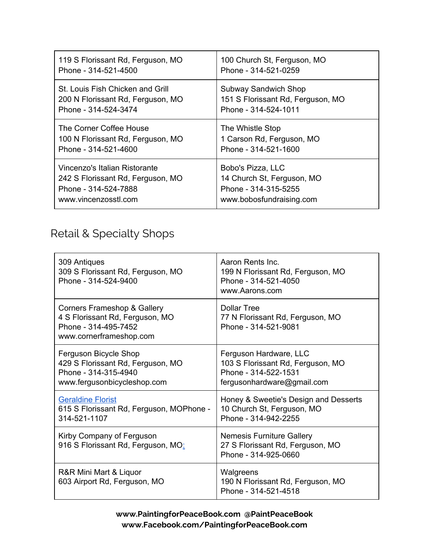| 119 S Florissant Rd, Ferguson, MO | 100 Church St, Ferguson, MO       |
|-----------------------------------|-----------------------------------|
| Phone - 314-521-4500              | Phone - 314-521-0259              |
| St. Louis Fish Chicken and Grill  | <b>Subway Sandwich Shop</b>       |
| 200 N Florissant Rd, Ferguson, MO | 151 S Florissant Rd, Ferguson, MO |
| Phone - 314-524-3474              | Phone - 314-524-1011              |
| The Corner Coffee House           | The Whistle Stop                  |
| 100 N Florissant Rd, Ferguson, MO | 1 Carson Rd, Ferguson, MO         |
| Phone - 314-521-4600              | Phone - 314-521-1600              |
| Vincenzo's Italian Ristorante     | Bobo's Pizza, LLC                 |
| 242 S Florissant Rd, Ferguson, MO | 14 Church St, Ferguson, MO        |
| Phone - 314-524-7888              | Phone - 314-315-5255              |
| www.vincenzosstl.com              | www.bobosfundraising.com          |

## Retail & Specialty Shops

| 309 Antiques<br>309 S Florissant Rd, Ferguson, MO<br>Phone - 314-524-9400                                         | Aaron Rents Inc.<br>199 N Florissant Rd, Ferguson, MO<br>Phone - 314-521-4050<br>www.Aarons.com                   |
|-------------------------------------------------------------------------------------------------------------------|-------------------------------------------------------------------------------------------------------------------|
| Corners Frameshop & Gallery<br>4 S Florissant Rd, Ferguson, MO<br>Phone - 314-495-7452<br>www.cornerframeshop.com | <b>Dollar Tree</b><br>77 N Florissant Rd, Ferguson, MO<br>Phone - 314-521-9081                                    |
| Ferguson Bicycle Shop<br>429 S Florissant Rd, Ferguson, MO<br>Phone - 314-315-4940<br>www.fergusonbicycleshop.com | Ferguson Hardware, LLC<br>103 S Florissant Rd, Ferguson, MO<br>Phone - 314-522-1531<br>fergusonhardware@gmail.com |
| <b>Geraldine Florist</b><br>615 S Florissant Rd, Ferguson, MOPhone -<br>314-521-1107                              | Honey & Sweetie's Design and Desserts<br>10 Church St, Ferguson, MO<br>Phone - 314-942-2255                       |
| Kirby Company of Ferguson<br>916 S Florissant Rd, Ferguson, MO:                                                   | <b>Nemesis Furniture Gallery</b><br>27 S Florissant Rd, Ferguson, MO<br>Phone - 314-925-0660                      |
| R&R Mini Mart & Liquor<br>603 Airport Rd, Ferguson, MO                                                            | Walgreens<br>190 N Florissant Rd, Ferguson, MO<br>Phone - 314-521-4518                                            |

**www.PaintingforPeaceBook.com @PaintPeaceBook www.Facebook.com/PaintingforPeaceBook.com**